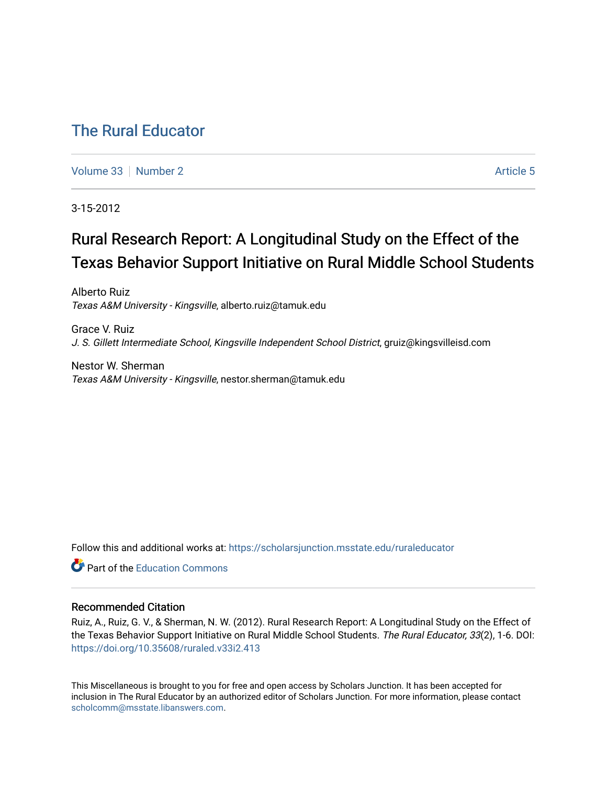## [The Rural Educator](https://scholarsjunction.msstate.edu/ruraleducator)

[Volume 33](https://scholarsjunction.msstate.edu/ruraleducator/vol33) [Number 2](https://scholarsjunction.msstate.edu/ruraleducator/vol33/iss2) Article 5

3-15-2012

# Rural Research Report: A Longitudinal Study on the Effect of the Texas Behavior Support Initiative on Rural Middle School Students

Alberto Ruiz Texas A&M University - Kingsville, alberto.ruiz@tamuk.edu

Grace V. Ruiz J. S. Gillett Intermediate School, Kingsville Independent School District, gruiz@kingsvilleisd.com

Nestor W. Sherman Texas A&M University - Kingsville, nestor.sherman@tamuk.edu

Follow this and additional works at: [https://scholarsjunction.msstate.edu/ruraleducator](https://scholarsjunction.msstate.edu/ruraleducator?utm_source=scholarsjunction.msstate.edu%2Fruraleducator%2Fvol33%2Fiss2%2F5&utm_medium=PDF&utm_campaign=PDFCoverPages)

**C** Part of the [Education Commons](http://network.bepress.com/hgg/discipline/784?utm_source=scholarsjunction.msstate.edu%2Fruraleducator%2Fvol33%2Fiss2%2F5&utm_medium=PDF&utm_campaign=PDFCoverPages)

#### Recommended Citation

Ruiz, A., Ruiz, G. V., & Sherman, N. W. (2012). Rural Research Report: A Longitudinal Study on the Effect of the Texas Behavior Support Initiative on Rural Middle School Students. The Rural Educator, 33(2), 1-6. DOI: <https://doi.org/10.35608/ruraled.v33i2.413>

This Miscellaneous is brought to you for free and open access by Scholars Junction. It has been accepted for inclusion in The Rural Educator by an authorized editor of Scholars Junction. For more information, please contact [scholcomm@msstate.libanswers.com.](mailto:scholcomm@msstate.libanswers.com)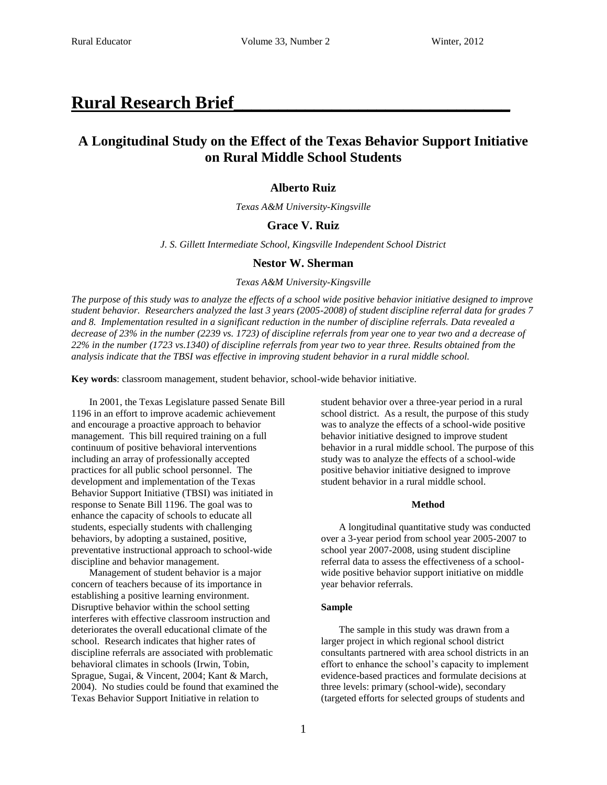### **Rural Research Brief\_\_\_\_\_\_\_\_\_\_\_\_\_\_\_\_\_\_\_\_\_\_\_\_\_\_\_\_\_\_\_**

### **A Longitudinal Study on the Effect of the Texas Behavior Support Initiative on Rural Middle School Students**

#### **Alberto Ruiz**

*Texas A&M University-Kingsville*

#### **Grace V. Ruiz**

*J. S. Gillett Intermediate School, Kingsville Independent School District* 

#### **Nestor W. Sherman**

#### *Texas A&M University-Kingsville*

*The purpose of this study was to analyze the effects of a school wide positive behavior initiative designed to improve student behavior. Researchers analyzed the last 3 years (2005-2008) of student discipline referral data for grades 7 and 8. Implementation resulted in a significant reduction in the number of discipline referrals. Data revealed a decrease of 23% in the number (2239 vs. 1723) of discipline referrals from year one to year two and a decrease of 22% in the number (1723 vs.1340) of discipline referrals from year two to year three. Results obtained from the analysis indicate that the TBSI was effective in improving student behavior in a rural middle school.*

**Key words**: classroom management, student behavior, school-wide behavior initiative.

In 2001, the Texas Legislature passed Senate Bill 1196 in an effort to improve academic achievement and encourage a proactive approach to behavior management. This bill required training on a full continuum of positive behavioral interventions including an array of professionally accepted practices for all public school personnel. The development and implementation of the Texas Behavior Support Initiative (TBSI) was initiated in response to Senate Bill 1196. The goal was to enhance the capacity of schools to educate all students, especially students with challenging behaviors, by adopting a sustained, positive, preventative instructional approach to school-wide discipline and behavior management.

Management of student behavior is a major concern of teachers because of its importance in establishing a positive learning environment. Disruptive behavior within the school setting interferes with effective classroom instruction and deteriorates the overall educational climate of the school. Research indicates that higher rates of discipline referrals are associated with problematic behavioral climates in schools (Irwin, Tobin, Sprague, Sugai, & Vincent, 2004; Kant & March, 2004). No studies could be found that examined the Texas Behavior Support Initiative in relation to

student behavior over a three-year period in a rural school district. As a result, the purpose of this study was to analyze the effects of a school-wide positive behavior initiative designed to improve student behavior in a rural middle school. The purpose of this study was to analyze the effects of a school-wide positive behavior initiative designed to improve student behavior in a rural middle school.

#### **Method**

A longitudinal quantitative study was conducted over a 3-year period from school year 2005-2007 to school year 2007-2008, using student discipline referral data to assess the effectiveness of a schoolwide positive behavior support initiative on middle year behavior referrals.

#### **Sample**

The sample in this study was drawn from a larger project in which regional school district consultants partnered with area school districts in an effort to enhance the school's capacity to implement evidence-based practices and formulate decisions at three levels: primary (school-wide), secondary (targeted efforts for selected groups of students and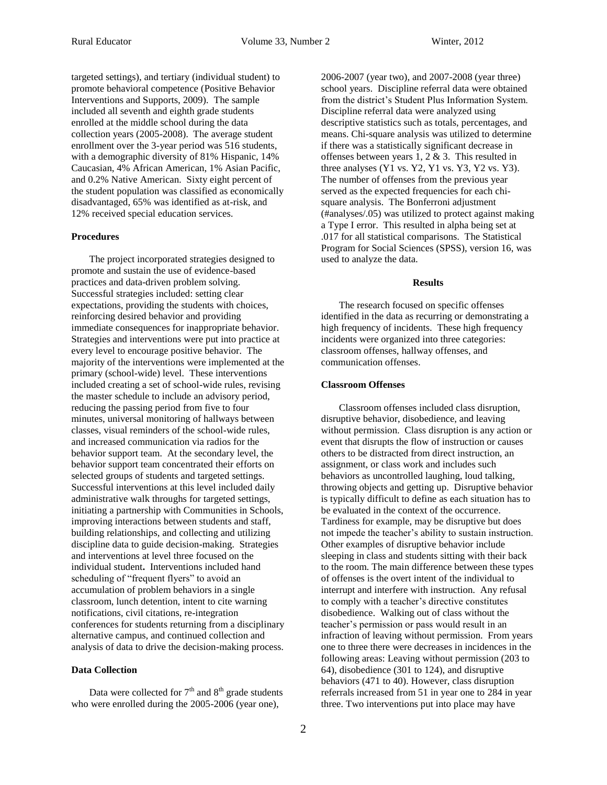targeted settings), and tertiary (individual student) to promote behavioral competence (Positive Behavior Interventions and Supports, 2009). The sample included all seventh and eighth grade students enrolled at the middle school during the data collection years (2005-2008). The average student enrollment over the 3-year period was 516 students, with a demographic diversity of 81% Hispanic, 14% Caucasian, 4% African American, 1% Asian Pacific, and 0.2% Native American. Sixty eight percent of the student population was classified as economically disadvantaged, 65% was identified as at-risk, and 12% received special education services.

#### **Procedures**

The project incorporated strategies designed to promote and sustain the use of evidence-based practices and data-driven problem solving. Successful strategies included: setting clear expectations, providing the students with choices, reinforcing desired behavior and providing immediate consequences for inappropriate behavior. Strategies and interventions were put into practice at every level to encourage positive behavior. The majority of the interventions were implemented at the primary (school-wide) level. These interventions included creating a set of school-wide rules, revising the master schedule to include an advisory period, reducing the passing period from five to four minutes, universal monitoring of hallways between classes, visual reminders of the school-wide rules, and increased communication via radios for the behavior support team. At the secondary level, the behavior support team concentrated their efforts on selected groups of students and targeted settings. Successful interventions at this level included daily administrative walk throughs for targeted settings, initiating a partnership with Communities in Schools, improving interactions between students and staff, building relationships, and collecting and utilizing discipline data to guide decision-making. Strategies and interventions at level three focused on the individual student**.** Interventions included hand scheduling of "frequent flyers" to avoid an accumulation of problem behaviors in a single classroom, lunch detention, intent to cite warning notifications, civil citations, re-integration conferences for students returning from a disciplinary alternative campus, and continued collection and analysis of data to drive the decision-making process.

#### **Data Collection**

Data were collected for  $7<sup>th</sup>$  and  $8<sup>th</sup>$  grade students who were enrolled during the 2005-2006 (year one),

2006-2007 (year two), and 2007-2008 (year three) school years. Discipline referral data were obtained from the district's Student Plus Information System. Discipline referral data were analyzed using descriptive statistics such as totals, percentages, and means. Chi-square analysis was utilized to determine if there was a statistically significant decrease in offenses between years 1, 2 & 3. This resulted in three analyses (Y1 vs. Y2, Y1 vs. Y3, Y2 vs. Y3). The number of offenses from the previous year served as the expected frequencies for each chisquare analysis. The Bonferroni adjustment (#analyses/.05) was utilized to protect against making a Type I error. This resulted in alpha being set at .017 for all statistical comparisons. The Statistical Program for Social Sciences (SPSS), version 16, was used to analyze the data.

#### **Results**

The research focused on specific offenses identified in the data as recurring or demonstrating a high frequency of incidents. These high frequency incidents were organized into three categories: classroom offenses, hallway offenses, and communication offenses.

#### **Classroom Offenses**

Classroom offenses included class disruption, disruptive behavior, disobedience, and leaving without permission. Class disruption is any action or event that disrupts the flow of instruction or causes others to be distracted from direct instruction, an assignment, or class work and includes such behaviors as uncontrolled laughing, loud talking, throwing objects and getting up. Disruptive behavior is typically difficult to define as each situation has to be evaluated in the context of the occurrence. Tardiness for example, may be disruptive but does not impede the teacher's ability to sustain instruction. Other examples of disruptive behavior include sleeping in class and students sitting with their back to the room. The main difference between these types of offenses is the overt intent of the individual to interrupt and interfere with instruction. Any refusal to comply with a teacher's directive constitutes disobedience. Walking out of class without the teacher's permission or pass would result in an infraction of leaving without permission. From years one to three there were decreases in incidences in the following areas: Leaving without permission (203 to 64), disobedience (301 to 124), and disruptive behaviors (471 to 40). However, class disruption referrals increased from 51 in year one to 284 in year three. Two interventions put into place may have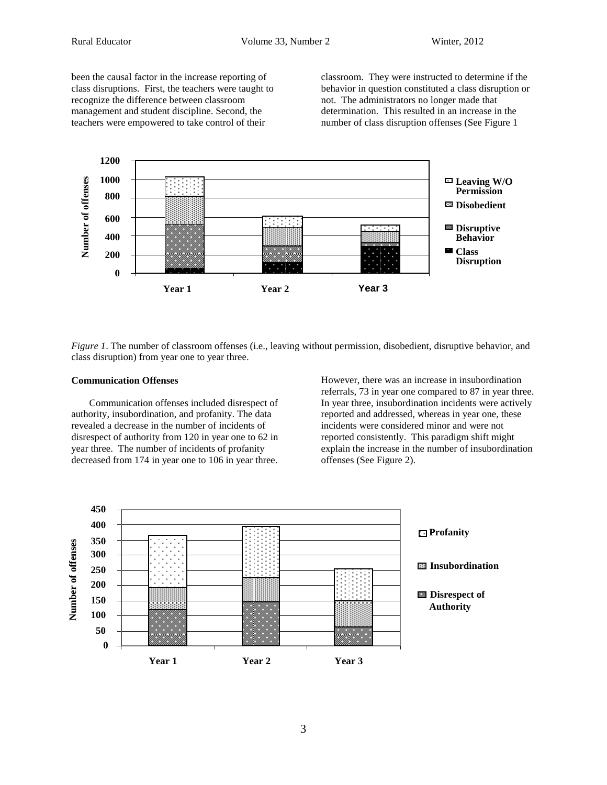been the causal factor in the increase reporting of class disruptions. First, the teachers were taught to recognize the difference between classroom management and student discipline. Second, the teachers were empowered to take control of their

classroom. They were instructed to determine if the behavior in question constituted a class disruption or not. The administrators no longer made that determination. This resulted in an increase in the number of class disruption offenses (See Figure 1



*Figure 1*. The number of classroom offenses (i.e., leaving without permission, disobedient, disruptive behavior, and class disruption) from year one to year three.

#### **Communication Offenses**

Communication offenses included disrespect of authority, insubordination, and profanity. The data revealed a decrease in the number of incidents of disrespect of authority from 120 in year one to 62 in year three. The number of incidents of profanity decreased from 174 in year one to 106 in year three.

However, there was an increase in insubordination referrals, 73 in year one compared to 87 in year three. In year three, insubordination incidents were actively reported and addressed, whereas in year one, these incidents were considered minor and were not reported consistently. This paradigm shift might explain the increase in the number of insubordination offenses (See Figure 2).

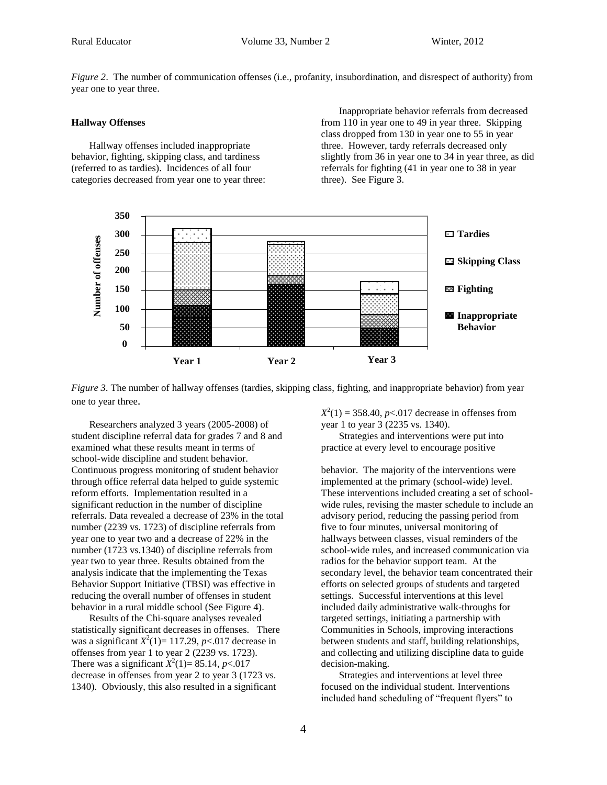*Figure 2*. The number of communication offenses (i.e., profanity, insubordination, and disrespect of authority) from year one to year three.

#### **Hallway Offenses**

Hallway offenses included inappropriate behavior, fighting, skipping class, and tardiness (referred to as tardies). Incidences of all four categories decreased from year one to year three:

Inappropriate behavior referrals from decreased from 110 in year one to 49 in year three. Skipping class dropped from 130 in year one to 55 in year three. However, tardy referrals decreased only slightly from 36 in year one to 34 in year three, as did referrals for fighting (41 in year one to 38 in year three). See Figure 3.





Researchers analyzed 3 years (2005-2008) of student discipline referral data for grades 7 and 8 and examined what these results meant in terms of school-wide discipline and student behavior. Continuous progress monitoring of student behavior through office referral data helped to guide systemic reform efforts. Implementation resulted in a significant reduction in the number of discipline referrals. Data revealed a decrease of 23% in the total number (2239 vs. 1723) of discipline referrals from year one to year two and a decrease of 22% in the number (1723 vs.1340) of discipline referrals from year two to year three. Results obtained from the analysis indicate that the implementing the Texas Behavior Support Initiative (TBSI) was effective in reducing the overall number of offenses in student behavior in a rural middle school (See Figure 4).

Results of the Chi-square analyses revealed statistically significant decreases in offenses. There was a significant  $X^2(1) = 117.29$ ,  $p < 0.017$  decrease in offenses from year 1 to year 2 (2239 vs. 1723). There was a significant  $X^2(1) = 85.14$ , *p*<.017 decrease in offenses from year 2 to year 3 (1723 vs. 1340). Obviously, this also resulted in a significant

 $X^2(1) = 358.40, p < .017$  decrease in offenses from year 1 to year 3 (2235 vs. 1340).

Strategies and interventions were put into practice at every level to encourage positive

behavior. The majority of the interventions were implemented at the primary (school-wide) level. These interventions included creating a set of schoolwide rules, revising the master schedule to include an advisory period, reducing the passing period from five to four minutes, universal monitoring of hallways between classes, visual reminders of the school-wide rules, and increased communication via radios for the behavior support team. At the secondary level, the behavior team concentrated their efforts on selected groups of students and targeted settings. Successful interventions at this level included daily administrative walk-throughs for targeted settings, initiating a partnership with Communities in Schools, improving interactions between students and staff, building relationships, and collecting and utilizing discipline data to guide decision-making.

Strategies and interventions at level three focused on the individual student. Interventions included hand scheduling of "frequent flyers" to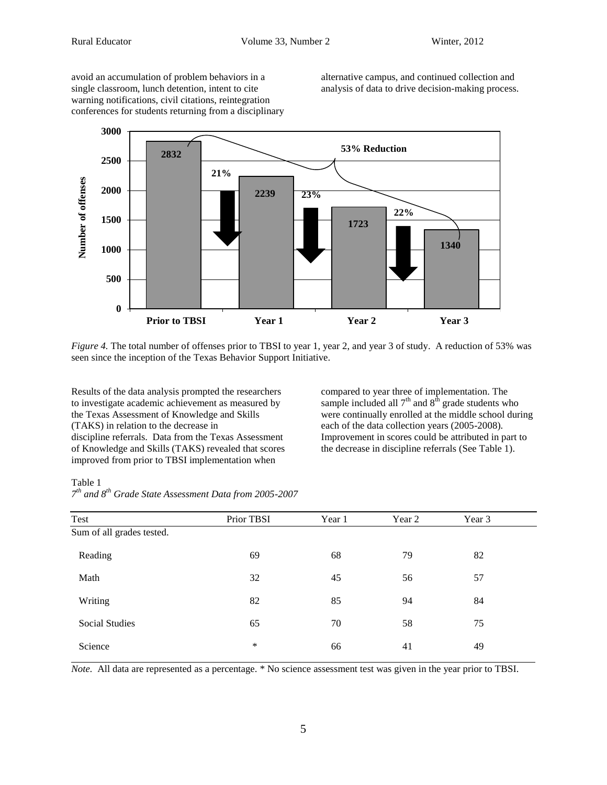avoid an accumulation of problem behaviors in a single classroom, lunch detention, intent to cite warning notifications, civil citations, reintegration conferences for students returning from a disciplinary alternative campus, and continued collection and analysis of data to drive decision-making process.



*Figure 4.* The total number of offenses prior to TBSI to year 1, year 2, and year 3 of study. A reduction of 53% was seen since the inception of the Texas Behavior Support Initiative.

Results of the data analysis prompted the researchers to investigate academic achievement as measured by the Texas Assessment of Knowledge and Skills (TAKS) in relation to the decrease in discipline referrals. Data from the Texas Assessment of Knowledge and Skills (TAKS) revealed that scores improved from prior to TBSI implementation when

compared to year three of implementation. The sample included all  $7<sup>th</sup>$  and  $8<sup>th</sup>$  grade students who were continually enrolled at the middle school during each of the data collection years (2005-2008). Improvement in scores could be attributed in part to the decrease in discipline referrals (See Table 1).

Table 1

|  | $7th$ and $8th$ Grade State Assessment Data from 2005-2007 |  |  |
|--|------------------------------------------------------------|--|--|
|  |                                                            |  |  |

| Test                      | Prior TBSI | Year 1 | Year 2 | Year 3 |  |
|---------------------------|------------|--------|--------|--------|--|
| Sum of all grades tested. |            |        |        |        |  |
| Reading                   | 69         | 68     | 79     | 82     |  |
| Math                      | 32         | 45     | 56     | 57     |  |
| Writing                   | 82         | 85     | 94     | 84     |  |
| <b>Social Studies</b>     | 65         | 70     | 58     | 75     |  |
| Science                   | $\ast$     | 66     | 41     | 49     |  |

*Note.* All data are represented as a percentage. \* No science assessment test was given in the year prior to TBSI.